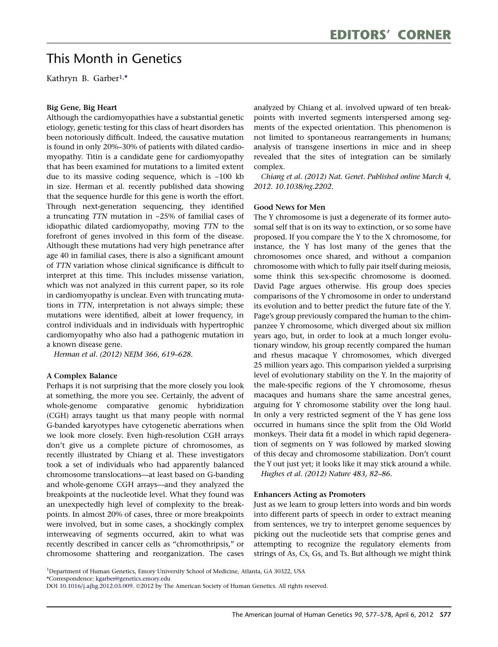# This Month in Genetics

Kathryn B. Garber1, \*

### Big Gene, Big Heart

Although the cardiomyopathies have a substantial genetic etiology, genetic testing for this class of heart disorders has been notoriously difficult. Indeed, the causative mutation is found in only 20%–30% of patients with dilated cardiomyopathy. Titin is a candidate gene for cardiomyopathy that has been examined for mutations to a limited extent due to its massive coding sequence, which is  $\sim$ 100 kb in size. Herman et al. recently published data showing that the sequence hurdle for this gene is worth the effort. Through next-generation sequencing, they identified a truncating TTN mutation in ~25% of familial cases of idiopathic dilated cardiomyopathy, moving TTN to the forefront of genes involved in this form of the disease. Although these mutations had very high penetrance after age 40 in familial cases, there is also a significant amount of TTN variation whose clinical significance is difficult to interpret at this time. This includes missense variation, which was not analyzed in this current paper, so its role in cardiomyopathy is unclear. Even with truncating mutations in TTN, interpretation is not always simple; these mutations were identified, albeit at lower frequency, in control individuals and in individuals with hypertrophic cardiomyopathy who also had a pathogenic mutation in a known disease gene.

Herman et al. (2012) NEJM 366, 619–628.

#### A Complex Balance

Perhaps it is not surprising that the more closely you look at something, the more you see. Certainly, the advent of whole-genome comparative genomic hybridization (CGH) arrays taught us that many people with normal G-banded karyotypes have cytogenetic aberrations when we look more closely. Even high-resolution CGH arrays don't give us a complete picture of chromosomes, as recently illustrated by Chiang et al. These investigators took a set of individuals who had apparently balanced chromosome translocations—at least based on G-banding and whole-genome CGH arrays—and they analyzed the breakpoints at the nucleotide level. What they found was an unexpectedly high level of complexity to the breakpoints. In almost 20% of cases, three or more breakpoints were involved, but in some cases, a shockingly complex interweaving of segments occurred, akin to what was recently described in cancer cells as ''chromothripsis,'' or chromosome shattering and reorganization. The cases

analyzed by Chiang et al. involved upward of ten breakpoints with inverted segments interspersed among segments of the expected orientation. This phenomenon is not limited to spontaneous rearrangements in humans; analysis of transgene insertions in mice and in sheep revealed that the sites of integration can be similarly complex.

Chiang et al. (2012) Nat. Genet. Published online March 4, 2012. 10.1038/ng.2202.

#### Good News for Men

The Y chromosome is just a degenerate of its former autosomal self that is on its way to extinction, or so some have proposed. If you compare the Y to the X chromosome, for instance, the Y has lost many of the genes that the chromosomes once shared, and without a companion chromosome with which to fully pair itself during meiosis, some think this sex-specific chromosome is doomed. David Page argues otherwise. His group does species comparisons of the Y chromosome in order to understand its evolution and to better predict the future fate of the Y. Page's group previously compared the human to the chimpanzee Y chromosome, which diverged about six million years ago, but, in order to look at a much longer evolutionary window, his group recently compared the human and rhesus macaque Y chromosomes, which diverged 25 million years ago. This comparison yielded a surprising level of evolutionary stability on the Y. In the majority of the male-specific regions of the Y chromosome, rhesus macaques and humans share the same ancestral genes, arguing for Y chromosome stability over the long haul. In only a very restricted segment of the Y has gene loss occurred in humans since the split from the Old World monkeys. Their data fit a model in which rapid degeneration of segments on Y was followed by marked slowing of this decay and chromosome stabilization. Don't count the Y out just yet; it looks like it may stick around a while.

Hughes et al. (2012) Nature 483, 82–86.

#### Enhancers Acting as Promoters

Just as we learn to group letters into words and bin words into different parts of speech in order to extract meaning from sentences, we try to interpret genome sequences by picking out the nucleotide sets that comprise genes and attempting to recognize the regulatory elements from strings of As, Cs, Gs, and Ts. But although we might think

<sup>&</sup>lt;sup>1</sup>Department of Human Genetics, Emory University School of Medicine, Atlanta, GA 30322, USA

<sup>\*</sup>Correspondence: [kgarber@genetics.emory.edu](mailto:kgarber@genetics.emory.edu)

DOI [10.1016/j.ajhg.2012.03.009.](http://dx.doi.org/10.1016/j.ajhg.2012.03.009) 2012 by The American Society of Human Genetics. All rights reserved.